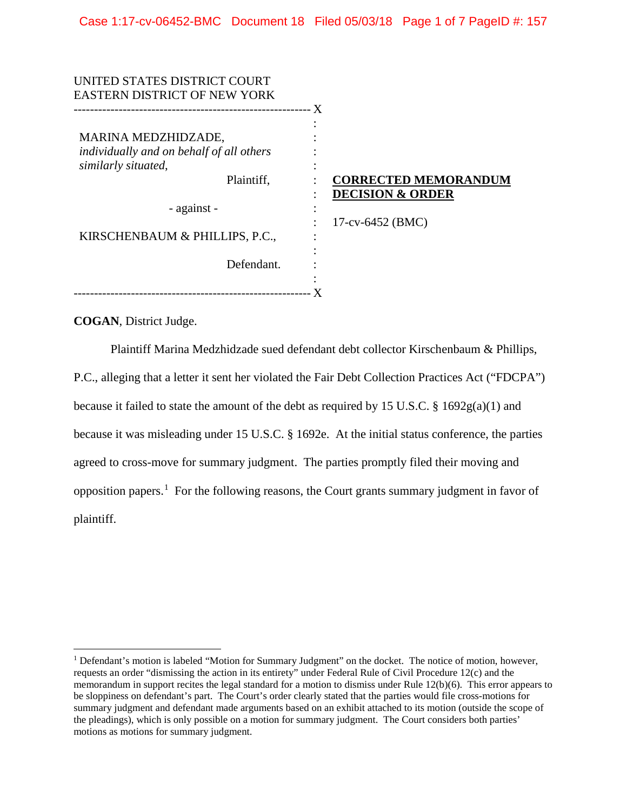| UNITED STATES DISTRICT COURT             |                             |
|------------------------------------------|-----------------------------|
| <b>EASTERN DISTRICT OF NEW YORK</b>      |                             |
|                                          |                             |
|                                          |                             |
| MARINA MEDZHIDZADE,                      |                             |
| individually and on behalf of all others |                             |
| similarly situated,                      |                             |
| Plaintiff,                               | <b>CORRECTED MEMORANDUM</b> |
|                                          | <b>DECISION &amp; ORDER</b> |
| - against -                              |                             |
|                                          | $17$ -cv-6452 (BMC)         |
| KIRSCHENBAUM & PHILLIPS, P.C.,           |                             |
|                                          |                             |
| Defendant.                               |                             |
|                                          |                             |
|                                          |                             |

**COGAN**, District Judge.

Plaintiff Marina Medzhidzade sued defendant debt collector Kirschenbaum & Phillips, P.C., alleging that a letter it sent her violated the Fair Debt Collection Practices Act ("FDCPA") because it failed to state the amount of the debt as required by 15 U.S.C. § 1692g(a)(1) and because it was misleading under 15 U.S.C. § 1692e. At the initial status conference, the parties agreed to cross-move for summary judgment. The parties promptly filed their moving and opposition papers.<sup>[1](#page-0-0)</sup> For the following reasons, the Court grants summary judgment in favor of plaintiff.

<span id="page-0-0"></span><sup>&</sup>lt;sup>1</sup> Defendant's motion is labeled "Motion for Summary Judgment" on the docket. The notice of motion, however, requests an order "dismissing the action in its entirety" under Federal Rule of Civil Procedure 12(c) and the memorandum in support recites the legal standard for a motion to dismiss under Rule 12(b)(6). This error appears to be sloppiness on defendant's part. The Court's order clearly stated that the parties would file cross-motions for summary judgment and defendant made arguments based on an exhibit attached to its motion (outside the scope of the pleadings), which is only possible on a motion for summary judgment. The Court considers both parties' motions as motions for summary judgment.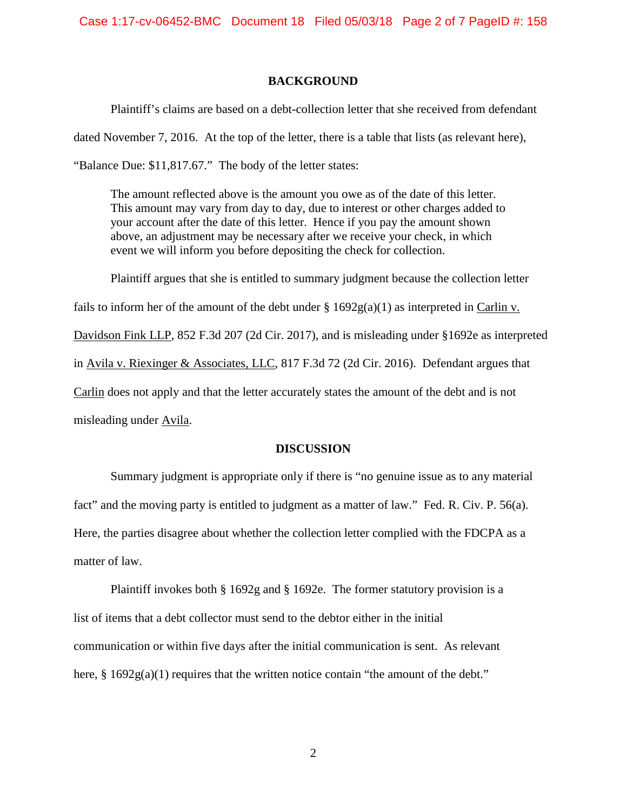## **BACKGROUND**

Plaintiff's claims are based on a debt-collection letter that she received from defendant

dated November 7, 2016. At the top of the letter, there is a table that lists (as relevant here),

"Balance Due: \$11,817.67." The body of the letter states:

The amount reflected above is the amount you owe as of the date of this letter. This amount may vary from day to day, due to interest or other charges added to your account after the date of this letter. Hence if you pay the amount shown above, an adjustment may be necessary after we receive your check, in which event we will inform you before depositing the check for collection.

Plaintiff argues that she is entitled to summary judgment because the collection letter fails to inform her of the amount of the debt under  $\S 1692g(a)(1)$  as interpreted in Carlin v.

Davidson Fink LLP, 852 F.3d 207 (2d Cir. 2017), and is misleading under §1692e as interpreted in Avila v. Riexinger & Associates, LLC, 817 F.3d 72 (2d Cir. 2016). Defendant argues that Carlin does not apply and that the letter accurately states the amount of the debt and is not misleading under Avila.

### **DISCUSSION**

Summary judgment is appropriate only if there is "no genuine issue as to any material fact" and the moving party is entitled to judgment as a matter of law." Fed. R. Civ. P. 56(a). Here, the parties disagree about whether the collection letter complied with the FDCPA as a matter of law.

Plaintiff invokes both § 1692g and § 1692e. The former statutory provision is a list of items that a debt collector must send to the debtor either in the initial communication or within five days after the initial communication is sent. As relevant here,  $\S 1692g(a)(1)$  requires that the written notice contain "the amount of the debt."

2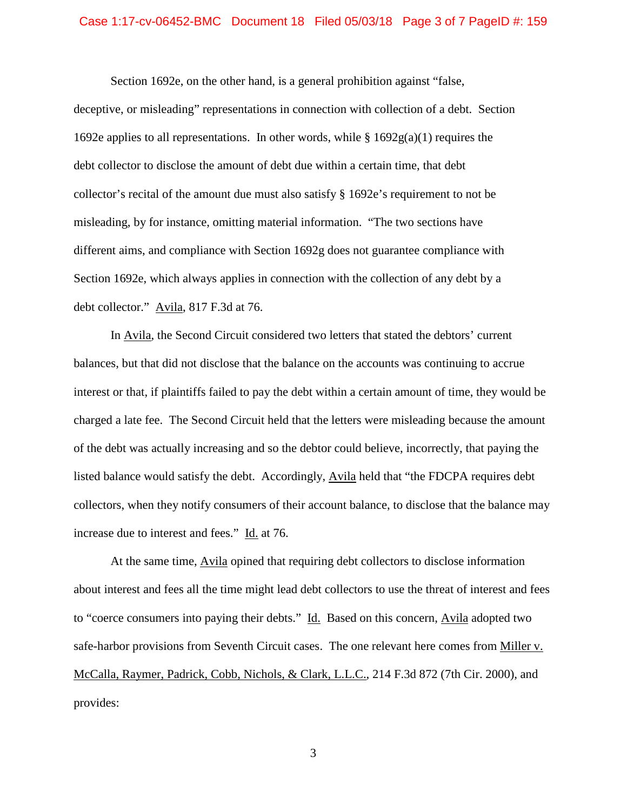#### Case 1:17-cv-06452-BMC Document 18 Filed 05/03/18 Page 3 of 7 PageID #: 159

Section 1692e, on the other hand, is a general prohibition against "false, deceptive, or misleading" representations in connection with collection of a debt. Section 1692e applies to all representations. In other words, while  $\S$  1692g(a)(1) requires the debt collector to disclose the amount of debt due within a certain time, that debt collector's recital of the amount due must also satisfy § 1692e's requirement to not be misleading, by for instance, omitting material information. "The two sections have different aims, and compliance with Section 1692g does not guarantee compliance with Section 1692e, which always applies in connection with the collection of any debt by a debt collector." Avila, 817 F.3d at 76.

In Avila, the Second Circuit considered two letters that stated the debtors' current balances, but that did not disclose that the balance on the accounts was continuing to accrue interest or that, if plaintiffs failed to pay the debt within a certain amount of time, they would be charged a late fee. The Second Circuit held that the letters were misleading because the amount of the debt was actually increasing and so the debtor could believe, incorrectly, that paying the listed balance would satisfy the debt. Accordingly, Avila held that "the FDCPA requires debt collectors, when they notify consumers of their account balance, to disclose that the balance may increase due to interest and fees." Id. at 76.

At the same time, Avila opined that requiring debt collectors to disclose information about interest and fees all the time might lead debt collectors to use the threat of interest and fees to "coerce consumers into paying their debts." Id. Based on this concern, Avila adopted two safe-harbor provisions from Seventh Circuit cases. The one relevant here comes from Miller v. McCalla, Raymer, Padrick, Cobb, Nichols, & Clark, L.L.C., 214 F.3d 872 (7th Cir. 2000), and provides:

3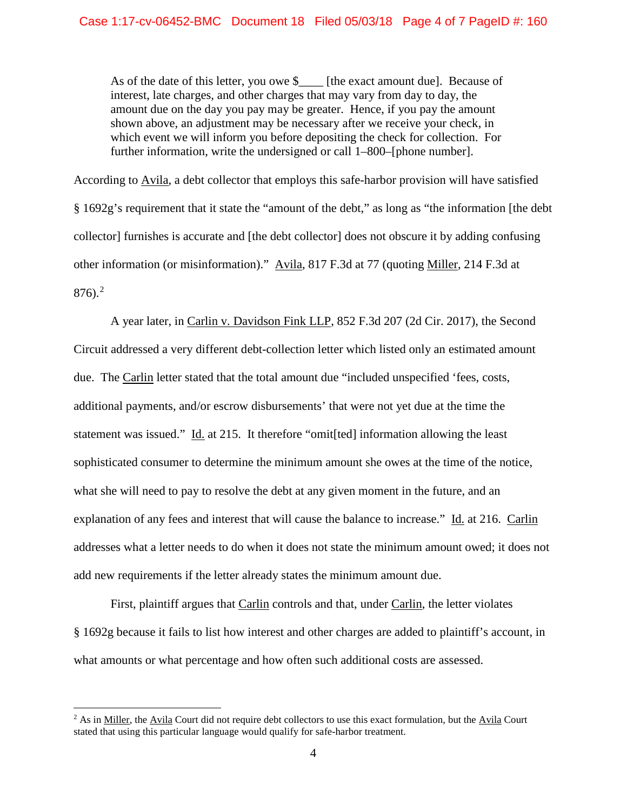As of the date of this letter, you owe \$\_\_\_\_ [the exact amount due]. Because of interest, late charges, and other charges that may vary from day to day, the amount due on the day you pay may be greater. Hence, if you pay the amount shown above, an adjustment may be necessary after we receive your check, in which event we will inform you before depositing the check for collection. For further information, write the undersigned or call 1–800–[phone number].

According to Avila, a debt collector that employs this safe-harbor provision will have satisfied § 1692g's requirement that it state the "amount of the debt," as long as "the information [the debt collector] furnishes is accurate and [the debt collector] does not obscure it by adding confusing other information (or misinformation)." Avila, 817 F.3d at 77 (quoting Miller, 214 F.3d at 876).<sup>[2](#page-3-0)</sup>

A year later, in Carlin v. Davidson Fink LLP, 852 F.3d 207 (2d Cir. 2017), the Second Circuit addressed a very different debt-collection letter which listed only an estimated amount due. The Carlin letter stated that the total amount due "included unspecified 'fees, costs, additional payments, and/or escrow disbursements' that were not yet due at the time the statement was issued." Id. at 215. It therefore "omit[ted] information allowing the least sophisticated consumer to determine the minimum amount she owes at the time of the notice, what she will need to pay to resolve the debt at any given moment in the future, and an explanation of any fees and interest that will cause the balance to increase." Id. at 216. Carlin addresses what a letter needs to do when it does not state the minimum amount owed; it does not add new requirements if the letter already states the minimum amount due.

First, plaintiff argues that Carlin controls and that, under Carlin, the letter violates § 1692g because it fails to list how interest and other charges are added to plaintiff's account, in what amounts or what percentage and how often such additional costs are assessed.

<span id="page-3-0"></span> $<sup>2</sup>$  As in Miller, the Avila Court did not require debt collectors to use this exact formulation, but the Avila Court</sup> stated that using this particular language would qualify for safe-harbor treatment.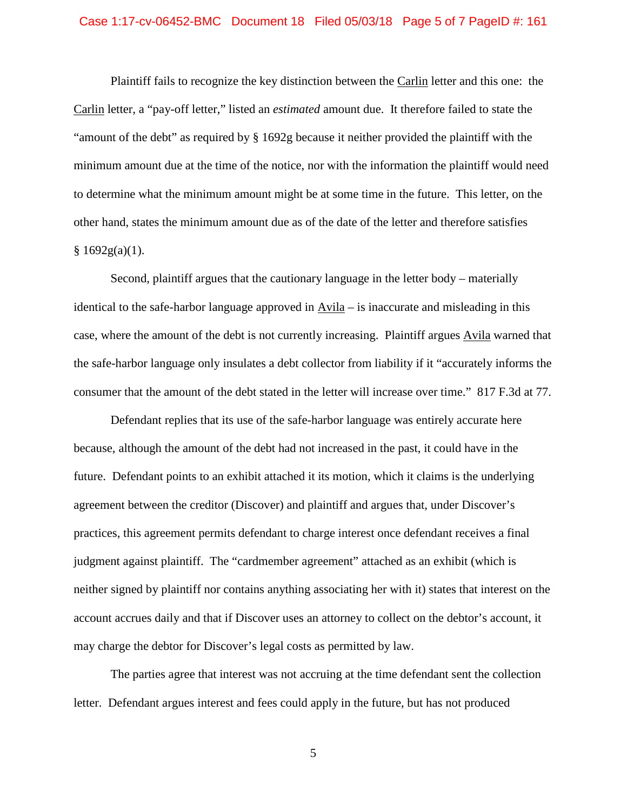#### Case 1:17-cv-06452-BMC Document 18 Filed 05/03/18 Page 5 of 7 PageID #: 161

Plaintiff fails to recognize the key distinction between the Carlin letter and this one: the Carlin letter, a "pay-off letter," listed an *estimated* amount due. It therefore failed to state the "amount of the debt" as required by § 1692g because it neither provided the plaintiff with the minimum amount due at the time of the notice, nor with the information the plaintiff would need to determine what the minimum amount might be at some time in the future. This letter, on the other hand, states the minimum amount due as of the date of the letter and therefore satisfies  $§ 1692g(a)(1).$ 

Second, plaintiff argues that the cautionary language in the letter body – materially identical to the safe-harbor language approved in Avila – is inaccurate and misleading in this case, where the amount of the debt is not currently increasing. Plaintiff argues Avila warned that the safe-harbor language only insulates a debt collector from liability if it "accurately informs the consumer that the amount of the debt stated in the letter will increase over time." 817 F.3d at 77.

Defendant replies that its use of the safe-harbor language was entirely accurate here because, although the amount of the debt had not increased in the past, it could have in the future. Defendant points to an exhibit attached it its motion, which it claims is the underlying agreement between the creditor (Discover) and plaintiff and argues that, under Discover's practices, this agreement permits defendant to charge interest once defendant receives a final judgment against plaintiff. The "cardmember agreement" attached as an exhibit (which is neither signed by plaintiff nor contains anything associating her with it) states that interest on the account accrues daily and that if Discover uses an attorney to collect on the debtor's account, it may charge the debtor for Discover's legal costs as permitted by law.

The parties agree that interest was not accruing at the time defendant sent the collection letter. Defendant argues interest and fees could apply in the future, but has not produced

5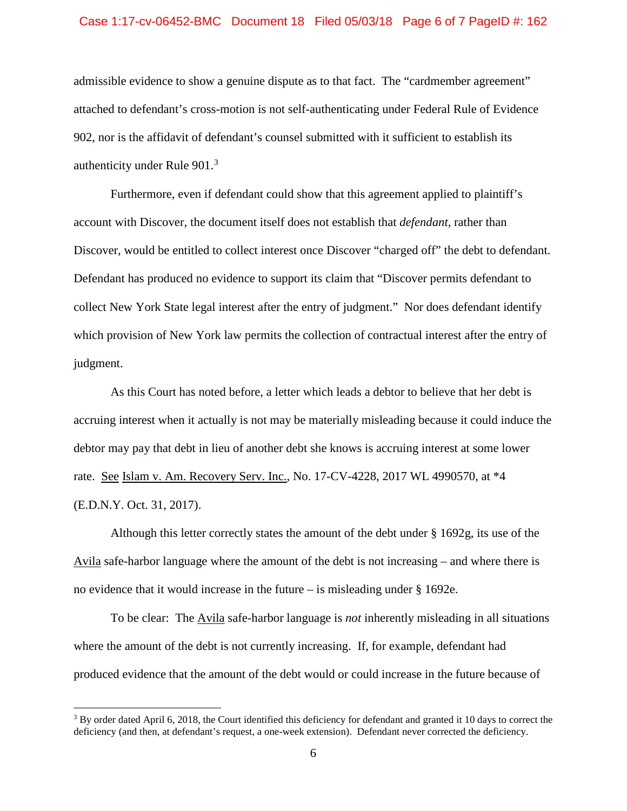#### Case 1:17-cv-06452-BMC Document 18 Filed 05/03/18 Page 6 of 7 PageID #: 162

admissible evidence to show a genuine dispute as to that fact. The "cardmember agreement" attached to defendant's cross-motion is not self-authenticating under Federal Rule of Evidence 902, nor is the affidavit of defendant's counsel submitted with it sufficient to establish its authenticity under Rule 901.<sup>[3](#page-5-0)</sup>

Furthermore, even if defendant could show that this agreement applied to plaintiff's account with Discover, the document itself does not establish that *defendant*, rather than Discover, would be entitled to collect interest once Discover "charged off" the debt to defendant. Defendant has produced no evidence to support its claim that "Discover permits defendant to collect New York State legal interest after the entry of judgment." Nor does defendant identify which provision of New York law permits the collection of contractual interest after the entry of judgment.

As this Court has noted before, a letter which leads a debtor to believe that her debt is accruing interest when it actually is not may be materially misleading because it could induce the debtor may pay that debt in lieu of another debt she knows is accruing interest at some lower rate. See Islam v. Am. Recovery Serv. Inc., No. 17-CV-4228, 2017 WL 4990570, at \*4 (E.D.N.Y. Oct. 31, 2017).

Although this letter correctly states the amount of the debt under § 1692g, its use of the Avila safe-harbor language where the amount of the debt is not increasing – and where there is no evidence that it would increase in the future – is misleading under § 1692e.

To be clear: The Avila safe-harbor language is *not* inherently misleading in all situations where the amount of the debt is not currently increasing. If, for example, defendant had produced evidence that the amount of the debt would or could increase in the future because of

<span id="page-5-0"></span><sup>&</sup>lt;sup>3</sup> By order dated April 6, 2018, the Court identified this deficiency for defendant and granted it 10 days to correct the deficiency (and then, at defendant's request, a one-week extension). Defendant never corrected the deficiency.